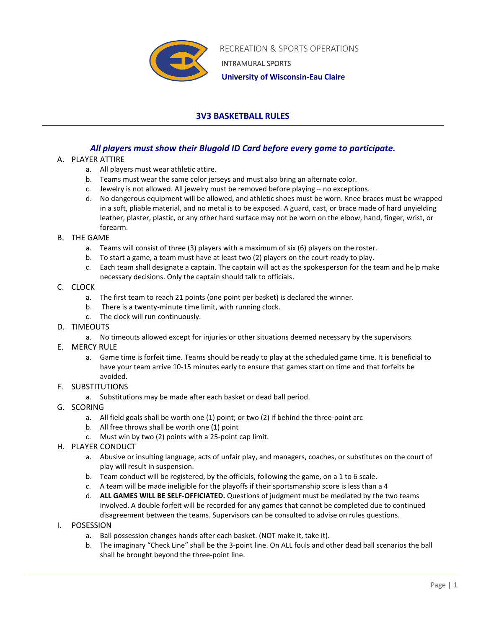

RECREATION & SPORTS OPERATIONS INTRAMURAL SPORTS

 **University of Wisconsin-Eau Claire**

# **3V3 BASKETBALL RULES**

# *All players must show their Blugold ID Card before every game to participate.*

## A. PLAYER ATTIRE

- a. All players must wear athletic attire.
- b. Teams must wear the same color jerseys and must also bring an alternate color.
- c. Jewelry is not allowed. All jewelry must be removed before playing no exceptions.
- d. No dangerous equipment will be allowed, and athletic shoes must be worn. Knee braces must be wrapped in a soft, pliable material, and no metal is to be exposed. A guard, cast, or brace made of hard unyielding leather, plaster, plastic, or any other hard surface may not be worn on the elbow, hand, finger, wrist, or forearm.

#### B. THE GAME

- a. Teams will consist of three (3) players with a maximum of six (6) players on the roster.
- b. To start a game, a team must have at least two (2) players on the court ready to play.
- c. Each team shall designate a captain. The captain will act as the spokesperson for the team and help make necessary decisions. Only the captain should talk to officials.

#### C. CLOCK

- a. The first team to reach 21 points (one point per basket) is declared the winner.
- b. There is a twenty-minute time limit, with running clock.
- c. The clock will run continuously.
- D. TIMEOUTS
	- a. No timeouts allowed except for injuries or other situations deemed necessary by the supervisors.
- E. MERCY RULE
	- a. Game time is forfeit time. Teams should be ready to play at the scheduled game time. It is beneficial to have your team arrive 10-15 minutes early to ensure that games start on time and that forfeits be avoided.

## F. SUBSTITUTIONS

- a. Substitutions may be made after each basket or dead ball period.
- G. SCORING
	- a. All field goals shall be worth one (1) point; or two (2) if behind the three-point arc
	- b. All free throws shall be worth one (1) point
	- c. Must win by two (2) points with a 25-point cap limit.
- H. PLAYER CONDUCT
	- a. Abusive or insulting language, acts of unfair play, and managers, coaches, or substitutes on the court of play will result in suspension.
	- b. Team conduct will be registered, by the officials, following the game, on a 1 to 6 scale.
	- c. A team will be made ineligible for the playoffs if their sportsmanship score is less than a 4
	- d. **ALL GAMES WILL BE SELF-OFFICIATED.** Questions of judgment must be mediated by the two teams involved. A double forfeit will be recorded for any games that cannot be completed due to continued disagreement between the teams. Supervisors can be consulted to advise on rules questions.
- I. POSESSION
	- a. Ball possession changes hands after each basket. (NOT make it, take it).
	- b. The imaginary "Check Line" shall be the 3-point line. On ALL fouls and other dead ball scenarios the ball shall be brought beyond the three-point line.